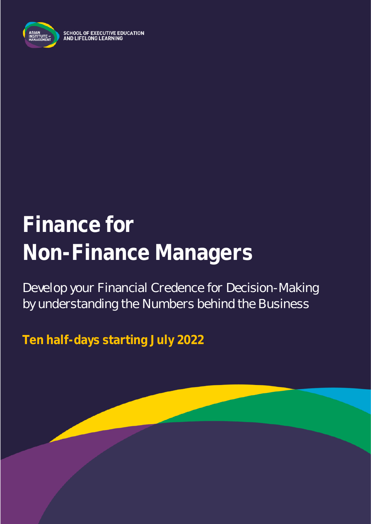

**SCHOOL OF EXECUTIVE EDUCATION** AND LIFELONG LEARNING

# **Finance for Non-Finance Managers**

Develop your Financial Credence for Decision-Making by understanding the Numbers behind the Business

**Ten half-days starting July 2022**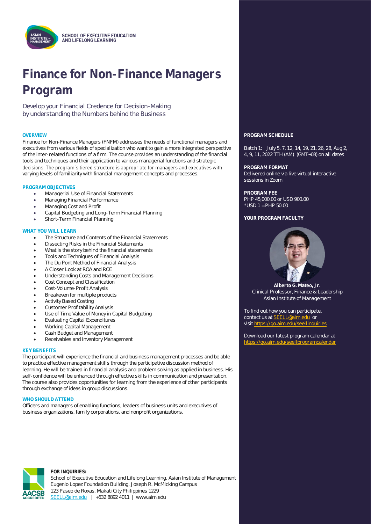

## **Finance for Non-Finance Managers Program**

Develop your Financial Credence for Decision-Making by understanding the Numbers behind the Business

Finance for Non-Finance Managers (FNFM) addresses the needs of functional managers and executives from various fields of specialization who want to gain a more integrated perspective of the inter-related functions of a firm. The course provides an understanding of the financial tools and techniques and their application to various managerial functions and strategic decisions. The program's tiered structure is appropriate for managers and executives with varying levels of familiarity with financial management concepts and processes.

#### **PROGRAM OBJECTIVES**

- Managerial Use of Financial Statements
- Managing Financial Performance
- Managing Cost and Profit
- Capital Budgeting and Long-Term Financial Planning
- Short-Term Financial Planning

#### **WHAT YOU WILL LEARN**

- The Structure and Contents of the Financial Statements
- Dissecting Risks in the Financial Statements
- What is the story behind the financial statements
- Tools and Techniques of Financial Analysis
- The Du Pont Method of Financial Analysis
- A Closer Look at ROA and ROE
- Understanding Costs and Management Decisions
- Cost Concept and Classification
- Cost-Volume-Profit Analysis
- Breakeven for multiple products
- **Activity Based Costing**
- Customer Profitability Analysis
- Use of Time Value of Money in Capital Budgeting
- **Evaluating Capital Expenditures**
- Working Capital Management
- Cash Budget and Management
- Receivables and Inventory Management

#### **KEY BENEFITS**

The participant will experience the financial and business management processes and be able to practice effective management skills through the participative discussion method of learning. He will be trained in financial analysis and problem solving as applied in business. His self-confidence will be enhanced through effective skills in communication and presentation. The course also provides opportunities for learning from the experience of other participants through exchange of ideas in group discussions.

#### **WHO SHOULD ATTEND**

Officers and managers of enabling functions, leaders of business units and executives of business organizations, family corporations, and nonprofit organizations.



#### **FOR INQUIRIES:**

School of Executive Education and Lifelong Learning, Asian Institute of Management Eugenio Lopez Foundation Building, Joseph R. McMicking Campus 123 Paseo de Roxas, Makati City Philippines 1229 [SEELL@aim.edu](mailto:SEELL@aim.edu) | +632 8892 4011 | www.aim.edu

#### **OVERVIEW PROGRAM SCHEDULE**

Batch 1: July 5, 7, 12, 14, 19, 21, 26, 28, Aug 2, 4, 9, 11, 2022 TTH (AM) (GMT+08) on all dates

**PROGRAM FORMAT** Delivered online via live virtual interactive sessions in Zoom

**PROGRAM FEE** PHP 45,000.00 or USD 900.00 \*USD 1 = PHP 50.00

**YOUR PROGRAM FACULTY**



**Alberto G. Mateo, Jr.** Clinical Professor, Finance & Leadership Asian Institute of Management

To find out how you can participate, contact us a[t SEELL@aim.edu](mailto:SEELL@aim.edu) or visit<https://go.aim.edu/seellinquiries>

Download our latest program calendar at https://go.aim.edu/seellprogramcalen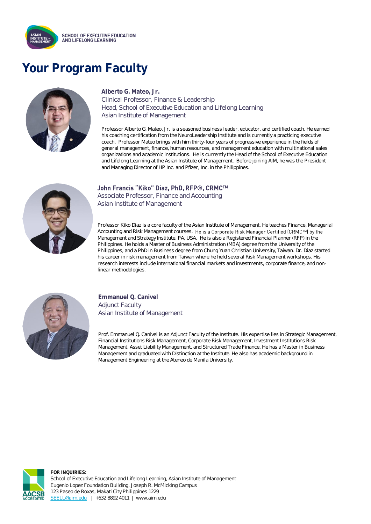

### **Your Program Faculty**



### **Alberto G. Mateo, Jr.**

Clinical Professor, Finance & Leadership Head, School of Executive Education and Lifelong Learning Asian Institute of Management

Professor Alberto G. Mateo, Jr. is a seasoned business leader, educator, and certified coach. He earned his coaching certification from the NeuroLeadership Institute and is currently a practicing executive coach. Professor Mateo brings with him thirty-four years of progressive experience in the fields of general management, finance, human resources, and management education with multinational sales organizations and academic institutions. He is currently the Head of the School of Executive Education and Lifelong Learning at the Asian Institute of Management. Before joining AIM, he was the President and Managing Director of HP Inc. and Pfizer, Inc. in the Philippines.



#### John Francis "Kiko" Diaz, PhD, RFP®, CRMC™

Associate Professor, Finance and Accounting Asian Institute of Management

Professor Kiko Diaz is a core faculty of the Asian Institute of Management. He teaches Finance, Managerial Accounting and Risk Management courses. He is a Corporate Risk Manager Certified (CRMC™) by the Management and Strategy Institute, PA, USA. He is also a Registered Financial Planner (RFP) in the Philippines. He holds a Master of Business Administration (MBA) degree from the University of the Philippines, and a PhD in Business degree from Chung Yuan Christian University, Taiwan. Dr. Diaz started his career in risk management from Taiwan where he held several Risk Management workshops. His research interests include international financial markets and investments, corporate finance, and nonlinear methodologies.



**Emmanuel Q. Canivel** Adjunct Faculty Asian Institute of Management

Prof. Emmanuel Q. Canivel is an Adjunct Faculty of the Institute. His expertise lies in Strategic Management, Financial Institutions Risk Management, Corporate Risk Management, Investment Institutions Risk Management, Asset Liability Management, and Structured Trade Finance. He has a Master in Business Management and graduated with Distinction at the Institute. He also has academic background in Management Engineering at the Ateneo de Manila University.



**FOR INQUIRIES:** School of Executive Education and Lifelong Learning, Asian Institute of Management Eugenio Lopez Foundation Building, Joseph R. McMicking Campus 123 Paseo de Roxas, Makati City Philippines 1229 [SEELL@aim.edu](mailto:SEELL@aim.edu) | +632 8892 4011 | www.aim.edu